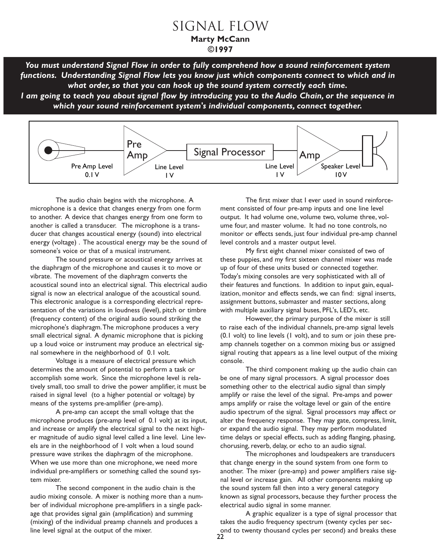*You must understand Signal Flow in order to fully comprehend how a sound reinforcement system functions. Understanding Signal Flow lets you know just which components connect to which and in what order, so that you can hook up the sound system correctly each time.*

*I am going to teach you about signal flow by introducing you to the Audio Chain, or the sequence in which your sound reinforcement system's individual components, connect together.*



The audio chain begins with the microphone. A microphone is a device that changes energy from one form to another. A device that changes energy from one form to another is called a transducer. The microphone is a transducer that changes acoustical energy (sound) into electrical energy (voltage) . The acoustical energy may be the sound of someone's voice or that of a musical instrument.

The sound pressure or acoustical energy arrives at the diaphragm of the microphone and causes it to move or vibrate. The movement of the diaphragm converts the acoustical sound into an electrical signal. This electrical audio signal is now an electrical analogue of the acoustical sound. This electronic analogue is a corresponding electrical representation of the variations in loudness (level), pitch or timbre (frequency content) of the original audio sound striking the microphone's diaphragm.The microphone produces a very small electrical signal. A dynamic microphone that is picking up a loud voice or instrument may produce an electrical signal somewhere in the neighborhood of 0.1 volt.

Voltage is a measure of electrical pressure which determines the amount of potential to perform a task or accomplish some work. Since the microphone level is relatively small, too small to drive the power amplifier, it must be raised in signal level (to a higher potential or voltage) by means of the systems pre-amplifier (pre-amp).

A pre-amp can accept the small voltage that the microphone produces (pre-amp level of 0.1 volt) at its input, and increase or amplify the electrical signal to the next higher magnitude of audio signal level called a line level. Line levels are in the neighborhood of 1 volt when a loud sound pressure wave strikes the diaphragm of the microphone. When we use more than one microphone, we need more individual pre-amplifiers or something called the sound system mixer.

The second component in the audio chain is the audio mixing console. A mixer is nothing more than a number of individual microphone pre-amplifiers in a single package that provides signal gain (amplification) and summing (mixing) of the individual preamp channels and produces a line level signal at the output of the mixer.

The first mixer that I ever used in sound reinforcement consisted of four pre-amp inputs and one line level output. It had volume one, volume two, volume three, volume four, and master volume. It had no tone controls, no monitor or effects sends, just four individual pre-amp channel level controls and a master output level.

My first eight channel mixer consisted of two of these puppies, and my first sixteen channel mixer was made up of four of these units bused or connected together. Today's mixing consoles are very sophisticated with all of their features and functions. In addition to input gain, equalization, monitor and effects sends, we can find: signal inserts, assignment buttons, submaster and master sections, along with multiple auxiliary signal buses, PFL's, LED's, etc.

However, the primary purpose of the mixer is still to raise each of the individual channels, pre-amp signal levels (0.1 volt) to line levels (1 volt), and to sum or join these preamp channels together on a common mixing bus or assigned signal routing that appears as a line level output of the mixing console.

The third component making up the audio chain can be one of many signal processors. A signal processor does something other to the electrical audio signal than simply amplify or raise the level of the signal. Pre-amps and power amps amplify or raise the voltage level or gain of the entire audio spectrum of the signal. Signal processors may affect or alter the frequency response. They may gate, compress, limit, or expand the audio signal. They may perform modulated time delays or special effects, such as adding flanging, phasing, chorusing, reverb, delay, or echo to an audio signal.

The microphones and loudspeakers are transducers that change energy in the sound system from one form to another. The mixer (pre-amp) and power amplifiers raise signal level or increase gain. All other components making up the sound system fall then into a very general category known as signal processors, because they further process the electrical audio signal in some manner.

A graphic equalizer is a type of signal processor that takes the audio frequency spectrum (twenty cycles per second to twenty thousand cycles per second) and breaks these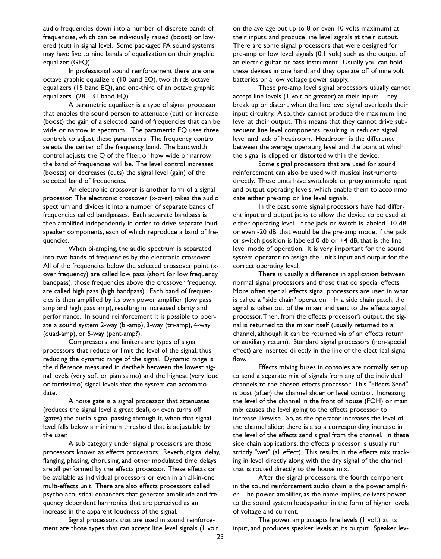audio frequencies down into a number of discrete bands of frequencies, which can be individually raised (boost) or lowered (cut) in signal level. Some packaged PA sound systems may have five to nine bands of equalization on their graphic equalizer (GEQ).

In professional sound reinforcement there are one octave graphic equalizers (10 band EQ), two-thirds octave equalizers (15 band EQ), and one-third of an octave graphic equalizers (28 - 31 band EQ).

A parametric equalizer is a type of signal processor that enables the sound person to attenuate (cut) or increase (boost) the gain of a selected band of frequencies that can be wide or narrow in spectrum. The parametric EQ uses three controls to adjust these parameters. The frequency control selects the center of the frequency band. The bandwidth control adjusts the Q of the filter, or how wide or narrow the band of frequencies will be. The level control increases (boosts) or decreases (cuts) the signal level (gain) of the selected band of frequencies.

An electronic crossover is another form of a signal processor. The electronic crossover (x-over) takes the audio spectrum and divides it into a number of separate bands of frequencies called bandpasses. Each separate bandpass is then amplified independently in order to drive separate loudspeaker components, each of which reproduce a band of frequencies.

When bi-amping, the audio spectrum is separated into two bands of frequencies by the electronic crossover. All of the frequencies below the selected crossover point (xover frequency) are called low pass (short for low frequency bandpass), those frequencies above the crossover frequency, are called high pass (high bandpass). Each band of frequencies is then amplified by its own power amplifier (low pass amp and high pass amp), resulting in increased clarity and performance. In sound reinforcement it is possible to operate a sound system 2-way (bi-amp), 3-way (tri-amp), 4-way (quad-amp), or 5-way (pent-amp?).

Compressors and limiters are types of signal processors that reduce or limit the level of the signal, thus reducing the dynamic range of the signal. Dynamic range is the difference measured in decibels between the lowest signal levels (very soft or pianissimo) and the highest (very loud or fortissimo) signal levels that the system can accommodate.

A noise gate is a signal processor that attenuates (reduces the signal level a great deal), or even turns off (gates) the audio signal passing through it, when that signal level falls below a minimum threshold that is adjustable by the user.

A sub category under signal processors are those processors known as effects processors. Reverb, digital delay, flanging, phasing, chorusing, and other modulated time delays are all performed by the effects processor. These effects can be available as individual processors or even in an all-in-one multi-effects unit. There are also effects processors called psycho-acoustical enhancers that generate amplitude and frequency dependent harmonics that are perceived as an increase in the apparent loudness of the signal.

Signal processors that are used in sound reinforcement are those types that can accept line level signals (1 volt on the average but up to 8 or even 10 volts maximum) at their inputs, and produce line level signals at their output. There are some signal processors that were designed for pre-amp or low level signals (0.1 volt) such as the output of an electric guitar or bass instrument. Usually you can hold these devices in one hand, and they operate off of nine volt batteries or a low voltage power supply.

These pre-amp level signal processors usually cannot accept line levels (1 volt or greater) at their inputs. They break up or distort when the line level signal overloads their input circuitry. Also, they cannot produce the maximum line level at their output. This means that they cannot drive subsequent line level components, resulting in reduced signal level and lack of headroom. Headroom is the difference between the average operating level and the point at which the signal is clipped or distorted within the device.

Some signal processors that are used for sound reinforcement can also be used with musical instruments directly. These units have switchable or programmable input and output operating levels, which enable them to accommodate either pre-amp or line level signals.

In the past, some signal processors have had different input and output jacks to allow the device to be used at either operating level. If the jack or switch is labeled -10 dB or even -20 dB, that would be the pre-amp mode. If the jack or switch position is labeled 0 db or +4 dB, that is the line level mode of operation. It is very important for the sound system operator to assign the unit's input and output for the correct operating level.

There is usually a difference in application between normal signal processors and those that do special effects. More often special effects signal processors are used in what is called a "side chain" operation. In a side chain patch, the signal is taken out of the mixer and sent to the effects signal processor.Then, from the effects processor's output, the signal is returned to the mixer itself (usually returned to a channel, although it can be returned via of an effects return or auxiliary return). Standard signal processors (non-special effect) are inserted directly in the line of the electrical signal flow.

Effects mixing buses in consoles are normally set up to send a separate mix of signals from any of the individual channels to the chosen effects processor. This "Effects Send" is post (after) the channel slider or level control. Increasing the level of the channel in the front of house (FOH) or main mix causes the level going to the effects processor to increase likewise. So, as the operator increases the level of the channel slider, there is also a corresponding increase in the level of the effects send signal from the channel. In these side chain applications, the effects processor is usually run strictly "wet" (all effect). This results in the effects mix tracking in level directly along with the dry signal of the channel that is routed directly to the house mix.

After the signal processors, the fourth component in the sound reinforcement audio chain is the power amplifier. The power amplifier, as the name implies, delivers power to the sound system loudspeaker in the form of higher levels of voltage and current.

The power amp accepts line levels (1 volt) at its input, and produces speaker levels at its output. Speaker lev